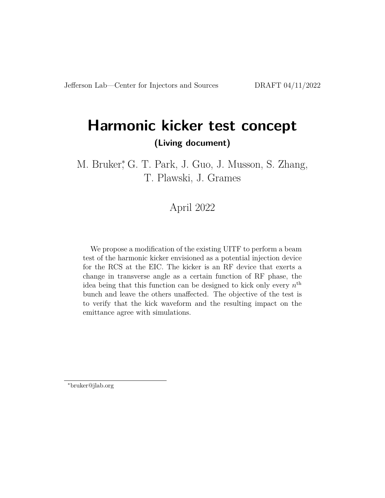# **Harmonic kicker test concept (Living document)**

M. Bruker, G. T. Park, J. Guo, J. Musson, S. Zhang, T. Plawski, J. Grames

## April 2022

We propose a modification of the existing UITF to perform a beam test of the harmonic kicker envisioned as a potential injection device for the RCS at the EIC. The kicker is an RF device that exerts a change in transverse angle as a certain function of RF phase, the idea being that this function can be designed to kick only every  $n<sup>th</sup>$ bunch and leave the others unaffected. The objective of the test is to verify that the kick waveform and the resulting impact on the emittance agree with simulations.

<sup>∗</sup>bruker@jlab.org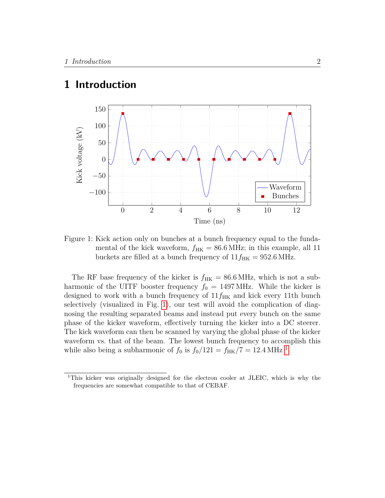## **1 Introduction**



<span id="page-1-0"></span>Figure 1: Kick action only on bunches at a bunch frequency equal to the fundamental of the kick waveform,  $f_{HK} = 86.6 \text{ MHz}$ ; in this example, all 11 buckets are filled at a bunch frequency of  $11f_{HK} = 952.6 \text{ MHz.}$ 

The RF base frequency of the kicker is  $f_{HK} = 86.6 \text{ MHz}$ , which is not a subharmonic of the UITF booster frequency  $f_0 = 1497 \text{ MHz}$ . While the kicker is designed to work with a bunch frequency of  $11f_{HK}$  and kick every 11th bunch selectively (visualized in Fig. [1\)](#page-1-0), our test will avoid the complication of diagnosing the resulting separated beams and instead put every bunch on the same phase of the kicker waveform, effectively turning the kicker into a DC steerer. The kick waveform can then be scanned by varying the global phase of the kicker waveform vs. that of the beam. The lowest bunch frequency to accomplish this while also being a subharmonic of  $f_0$  is  $f_0/121 = f_{HK}/7 = 12.4 \text{ MHz}^{-1}$  $f_0/121 = f_{HK}/7 = 12.4 \text{ MHz}^{-1}$  $f_0/121 = f_{HK}/7 = 12.4 \text{ MHz}^{-1}$ .

<span id="page-1-1"></span><sup>1</sup>This kicker was originally designed for the electron cooler at JLEIC, which is why the frequencies are somewhat compatible to that of CEBAF.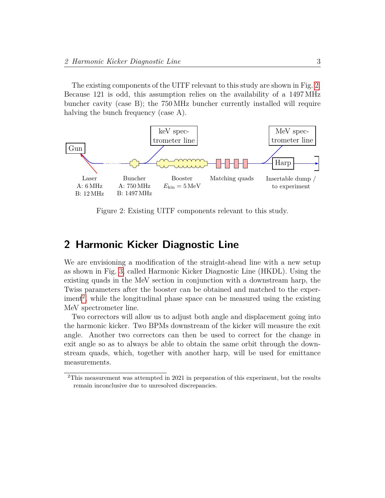The existing components of the UITF relevant to this study are shown in Fig. [2.](#page-2-0) Because 121 is odd, this assumption relies on the availability of a 1497 MHz buncher cavity (case B); the 750 MHz buncher currently installed will require halving the bunch frequency (case A).



<span id="page-2-0"></span>Figure 2: Existing UITF components relevant to this study.

#### **2 Harmonic Kicker Diagnostic Line**

We are envisioning a modification of the straight-ahead line with a new setup as shown in Fig. [3,](#page-3-0) called Harmonic Kicker Diagnostic Line (HKDL). Using the existing quads in the MeV section in conjunction with a downstream harp, the Twiss parameters after the booster can be obtained and matched to the exper- $\mu$ <sup>[2](#page-2-1)</sup>, while the longitudinal phase space can be measured using the existing MeV spectrometer line.

Two correctors will allow us to adjust both angle and displacement going into the harmonic kicker. Two BPMs downstream of the kicker will measure the exit angle. Another two correctors can then be used to correct for the change in exit angle so as to always be able to obtain the same orbit through the downstream quads, which, together with another harp, will be used for emittance measurements.

<span id="page-2-1"></span><sup>2</sup>This measurement was attempted in 2021 in preparation of this experiment, but the results remain inconclusive due to unresolved discrepancies.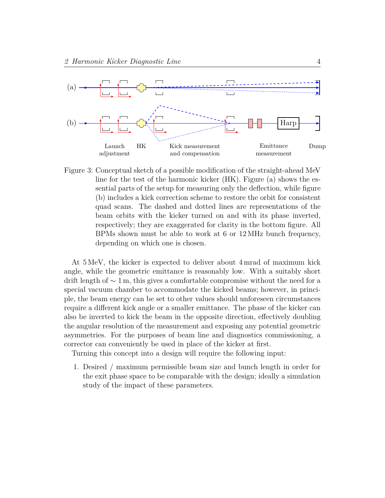

<span id="page-3-0"></span>Figure 3: Conceptual sketch of a possible modification of the straight-ahead MeV line for the test of the harmonic kicker (HK). Figure (a) shows the essential parts of the setup for measuring only the deflection, while figure (b) includes a kick correction scheme to restore the orbit for consistent quad scans. The dashed and dotted lines are representations of the beam orbits with the kicker turned on and with its phase inverted, respectively; they are exaggerated for clarity in the bottom figure. All BPMs shown must be able to work at 6 or 12 MHz bunch frequency, depending on which one is chosen.

At 5 MeV, the kicker is expected to deliver about 4 mrad of maximum kick angle, while the geometric emittance is reasonably low. With a suitably short drift length of  $\sim 1$  m, this gives a comfortable compromise without the need for a special vacuum chamber to accommodate the kicked beams; however, in principle, the beam energy can be set to other values should unforeseen circumstances require a different kick angle or a smaller emittance. The phase of the kicker can also be inverted to kick the beam in the opposite direction, effectively doubling the angular resolution of the measurement and exposing any potential geometric asymmetries. For the purposes of beam line and diagnostics commissioning, a corrector can conveniently be used in place of the kicker at first.

Turning this concept into a design will require the following input:

1. Desired / maximum permissible beam size and bunch length in order for the exit phase space to be comparable with the design; ideally a simulation study of the impact of these parameters.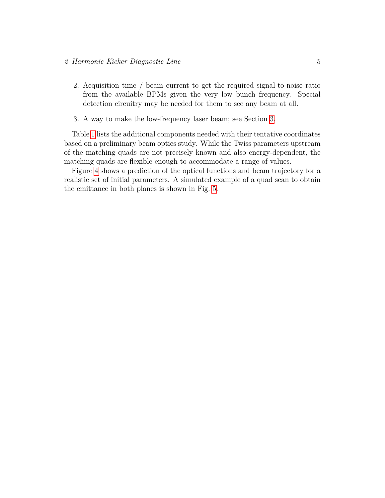- 2. Acquisition time / beam current to get the required signal-to-noise ratio from the available BPMs given the very low bunch frequency. Special detection circuitry may be needed for them to see any beam at all.
- 3. A way to make the low-frequency laser beam; see Section [3.](#page-8-0)

Table [1](#page-5-0) lists the additional components needed with their tentative coordinates based on a preliminary beam optics study. While the Twiss parameters upstream of the matching quads are not precisely known and also energy-dependent, the matching quads are flexible enough to accommodate a range of values.

Figure [4](#page-6-0) shows a prediction of the optical functions and beam trajectory for a realistic set of initial parameters. A simulated example of a quad scan to obtain the emittance in both planes is shown in Fig. [5.](#page-7-0)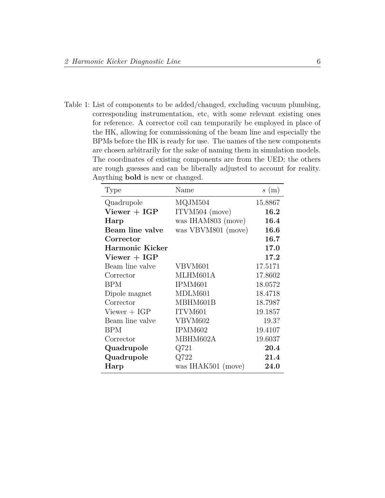<span id="page-5-0"></span>Table 1: List of components to be added/changed, excluding vacuum plumbing, corresponding instrumentation, etc, with some relevant existing ones for reference. A corrector coil can temporarily be employed in place of the HK, allowing for commissioning of the beam line and especially the BPMs before the HK is ready for use. The names of the new components are chosen arbitrarily for the sake of naming them in simulation models. The coordinates of existing components are from the UED; the others are rough guesses and can be liberally adjusted to account for reality. Anything **bold** is new or changed.

| Type              | Name               | s(m)    |
|-------------------|--------------------|---------|
| Quadrupole        | MQJM504            | 15.8867 |
| $V_i$ iewer + IGP | ITVM504 (move)     | 16.2    |
| Harp              | was IHAM803 (move) | 16.4    |
| Beam line valve   | was VBVM801 (move) | 16.6    |
| Corrector         |                    | 16.7    |
| Harmonic Kicker   |                    | 17.0    |
| $V_i$ iewer + IGP |                    | 17.2    |
| Beam line valve   | VBVM601            | 17.5171 |
| Corrector         | MLHM601A           | 17.8602 |
| <b>BPM</b>        | IPMM601            | 18.0572 |
| Dipole magnet     | MDLM601            | 18.4718 |
| Corrector         | MBHM601B           | 18.7987 |
| $V_i$ iewer + IGP | ITVM601            | 19.1857 |
| Beam line valve   | VBVM602            | 19.3?   |
| BPM               | IPMM602            | 19.4107 |
| Corrector         | MBHM602A           | 19.6037 |
| Quadrupole        | Q721               | 20.4    |
| Quadrupole        | Q722               | 21.4    |
| Harp              | was IHAK501 (move) | 24.0    |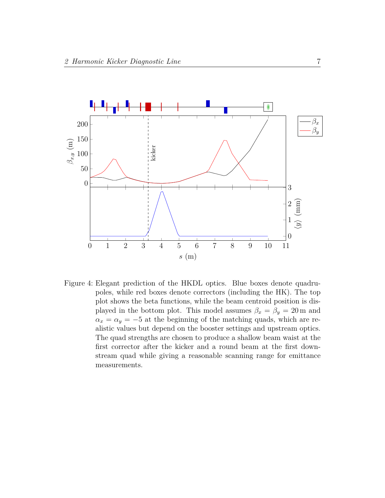

<span id="page-6-0"></span>Figure 4: Elegant prediction of the HKDL optics. Blue boxes denote quadrupoles, while red boxes denote correctors (including the HK). The top plot shows the beta functions, while the beam centroid position is displayed in the bottom plot. This model assumes  $\beta_x = \beta_y = 20$  m and  $\alpha_x = \alpha_y = -5$  at the beginning of the matching quads, which are realistic values but depend on the booster settings and upstream optics. The quad strengths are chosen to produce a shallow beam waist at the first corrector after the kicker and a round beam at the first downstream quad while giving a reasonable scanning range for emittance measurements.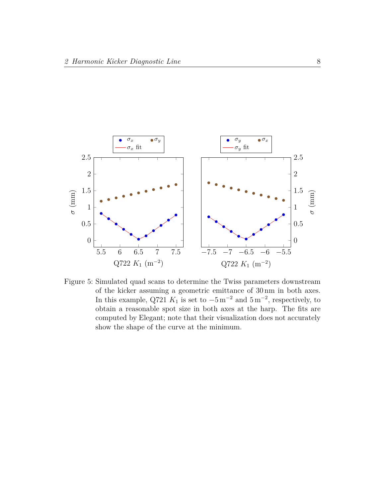

<span id="page-7-0"></span>Figure 5: Simulated quad scans to determine the Twiss parameters downstream of the kicker assuming a geometric emittance of 30 nm in both axes. In this example, Q721  $K_1$  is set to  $-5 \,\mathrm{m}^{-2}$  and  $5 \,\mathrm{m}^{-2}$ , respectively, to obtain a reasonable spot size in both axes at the harp. The fits are computed by Elegant; note that their visualization does not accurately show the shape of the curve at the minimum.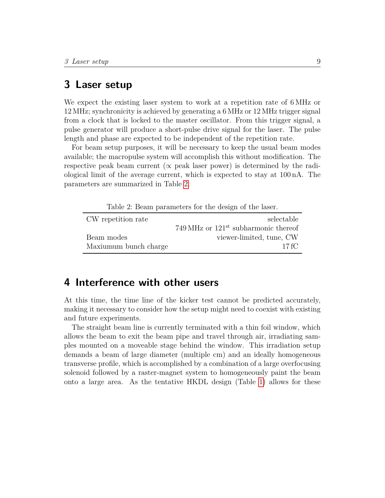#### <span id="page-8-0"></span>**3 Laser setup**

We expect the existing laser system to work at a repetition rate of 6 MHz or 12 MHz; synchronicity is achieved by generating a 6 MHz or 12 MHz trigger signal from a clock that is locked to the master oscillator. From this trigger signal, a pulse generator will produce a short-pulse drive signal for the laser. The pulse length and phase are expected to be independent of the repetition rate.

For beam setup purposes, it will be necessary to keep the usual beam modes available; the macropulse system will accomplish this without modification. The respective peak beam current ( $\propto$  peak laser power) is determined by the radiological limit of the average current, which is expected to stay at 100 nA. The parameters are summarized in Table [2.](#page-8-1)

<span id="page-8-1"></span>Table 2: Beam parameters for the design of the laser.

| CW repetition rate    | selectable                             |
|-----------------------|----------------------------------------|
|                       | 749 MHz or $121st$ subharmonic thereof |
| Beam modes            | viewer-limited, tune, CW               |
| Maxiumum bunch charge | 17 fC                                  |

## **4 Interference with other users**

At this time, the time line of the kicker test cannot be predicted accurately, making it necessary to consider how the setup might need to coexist with existing and future experiments.

The straight beam line is currently terminated with a thin foil window, which allows the beam to exit the beam pipe and travel through air, irradiating samples mounted on a moveable stage behind the window. This irradiation setup demands a beam of large diameter (multiple cm) and an ideally homogeneous transverse profile, which is accomplished by a combination of a large overfocusing solenoid followed by a raster-magnet system to homogeneously paint the beam onto a large area. As the tentative HKDL design (Table [1\)](#page-5-0) allows for these